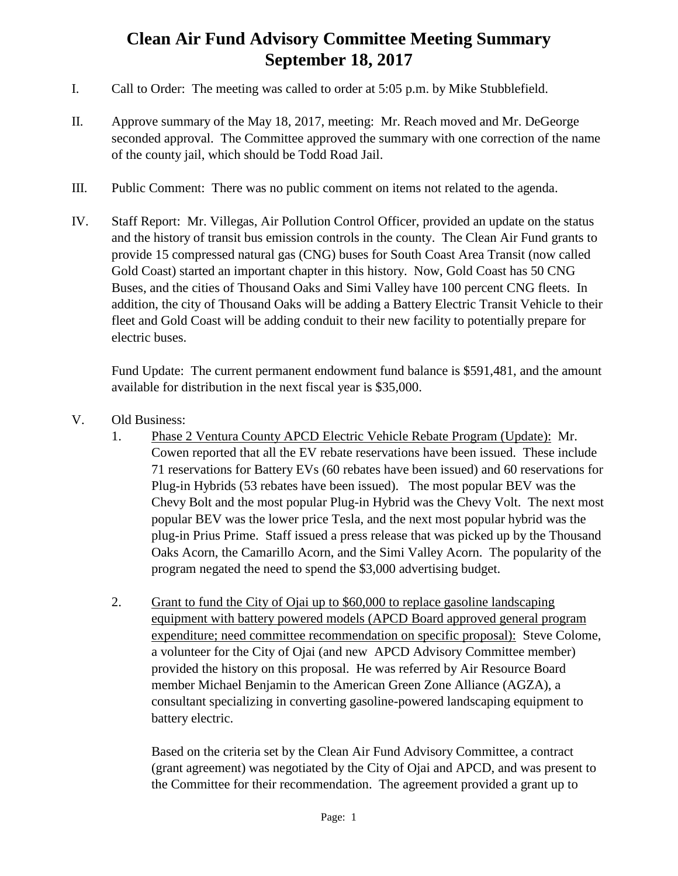## **Clean Air Fund Advisory Committee Meeting Summary September 18, 2017**

- I. Call to Order: The meeting was called to order at 5:05 p.m. by Mike Stubblefield.
- II. Approve summary of the May 18, 2017, meeting: Mr. Reach moved and Mr. DeGeorge seconded approval. The Committee approved the summary with one correction of the name of the county jail, which should be Todd Road Jail.
- III. Public Comment: There was no public comment on items not related to the agenda.
- IV. Staff Report: Mr. Villegas, Air Pollution Control Officer, provided an update on the status and the history of transit bus emission controls in the county. The Clean Air Fund grants to provide 15 compressed natural gas (CNG) buses for South Coast Area Transit (now called Gold Coast) started an important chapter in this history. Now, Gold Coast has 50 CNG Buses, and the cities of Thousand Oaks and Simi Valley have 100 percent CNG fleets. In addition, the city of Thousand Oaks will be adding a Battery Electric Transit Vehicle to their fleet and Gold Coast will be adding conduit to their new facility to potentially prepare for electric buses.

Fund Update: The current permanent endowment fund balance is \$591,481, and the amount available for distribution in the next fiscal year is \$35,000.

- V. Old Business:
	- 1. Phase 2 Ventura County APCD Electric Vehicle Rebate Program (Update): Mr. Cowen reported that all the EV rebate reservations have been issued. These include 71 reservations for Battery EVs (60 rebates have been issued) and 60 reservations for Plug-in Hybrids (53 rebates have been issued). The most popular BEV was the Chevy Bolt and the most popular Plug-in Hybrid was the Chevy Volt. The next most popular BEV was the lower price Tesla, and the next most popular hybrid was the plug-in Prius Prime. Staff issued a press release that was picked up by the Thousand Oaks Acorn, the Camarillo Acorn, and the Simi Valley Acorn. The popularity of the program negated the need to spend the \$3,000 advertising budget.
	- 2. Grant to fund the City of Ojai up to \$60,000 to replace gasoline landscaping equipment with battery powered models (APCD Board approved general program expenditure; need committee recommendation on specific proposal): Steve Colome, a volunteer for the City of Ojai (and new APCD Advisory Committee member) provided the history on this proposal. He was referred by Air Resource Board member Michael Benjamin to the American Green Zone Alliance (AGZA), a consultant specializing in converting gasoline-powered landscaping equipment to battery electric.

Based on the criteria set by the Clean Air Fund Advisory Committee, a contract (grant agreement) was negotiated by the City of Ojai and APCD, and was present to the Committee for their recommendation. The agreement provided a grant up to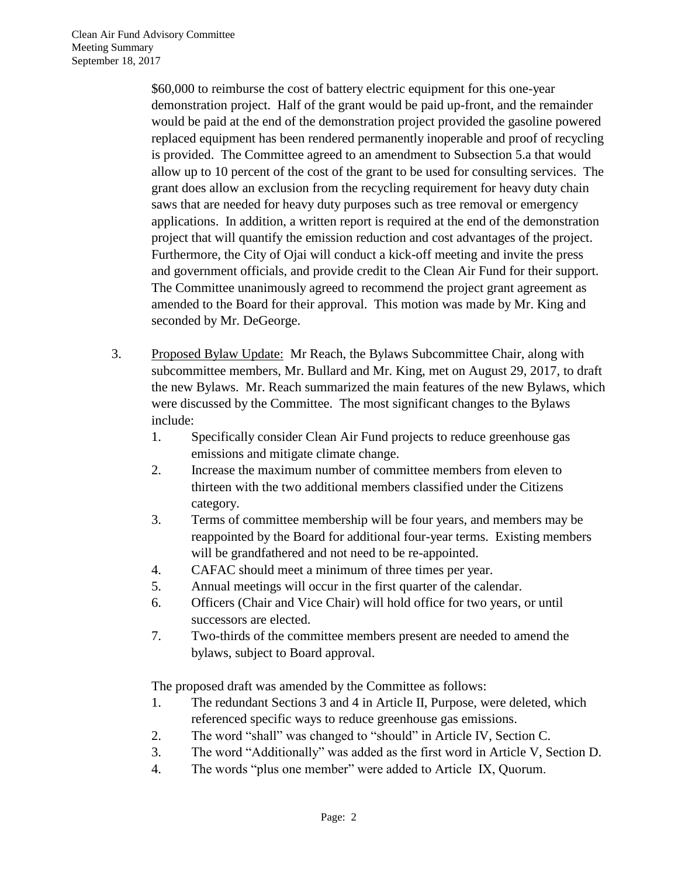\$60,000 to reimburse the cost of battery electric equipment for this one-year demonstration project. Half of the grant would be paid up-front, and the remainder would be paid at the end of the demonstration project provided the gasoline powered replaced equipment has been rendered permanently inoperable and proof of recycling is provided. The Committee agreed to an amendment to Subsection 5.a that would allow up to 10 percent of the cost of the grant to be used for consulting services. The grant does allow an exclusion from the recycling requirement for heavy duty chain saws that are needed for heavy duty purposes such as tree removal or emergency applications. In addition, a written report is required at the end of the demonstration project that will quantify the emission reduction and cost advantages of the project. Furthermore, the City of Ojai will conduct a kick-off meeting and invite the press and government officials, and provide credit to the Clean Air Fund for their support. The Committee unanimously agreed to recommend the project grant agreement as amended to the Board for their approval. This motion was made by Mr. King and seconded by Mr. DeGeorge.

- 3. Proposed Bylaw Update: Mr Reach, the Bylaws Subcommittee Chair, along with subcommittee members, Mr. Bullard and Mr. King, met on August 29, 2017, to draft the new Bylaws. Mr. Reach summarized the main features of the new Bylaws, which were discussed by the Committee. The most significant changes to the Bylaws include:
	- 1. Specifically consider Clean Air Fund projects to reduce greenhouse gas emissions and mitigate climate change.
	- 2. Increase the maximum number of committee members from eleven to thirteen with the two additional members classified under the Citizens category.
	- 3. Terms of committee membership will be four years, and members may be reappointed by the Board for additional four-year terms. Existing members will be grandfathered and not need to be re-appointed.
	- 4. CAFAC should meet a minimum of three times per year.
	- 5. Annual meetings will occur in the first quarter of the calendar.
	- 6. Officers (Chair and Vice Chair) will hold office for two years, or until successors are elected.
	- 7. Two-thirds of the committee members present are needed to amend the bylaws, subject to Board approval.

The proposed draft was amended by the Committee as follows:

- 1. The redundant Sections 3 and 4 in Article II, Purpose, were deleted, which referenced specific ways to reduce greenhouse gas emissions.
- 2. The word "shall" was changed to "should" in Article IV, Section C.
- 3. The word "Additionally" was added as the first word in Article V, Section D.
- 4. The words "plus one member" were added to Article IX, Quorum.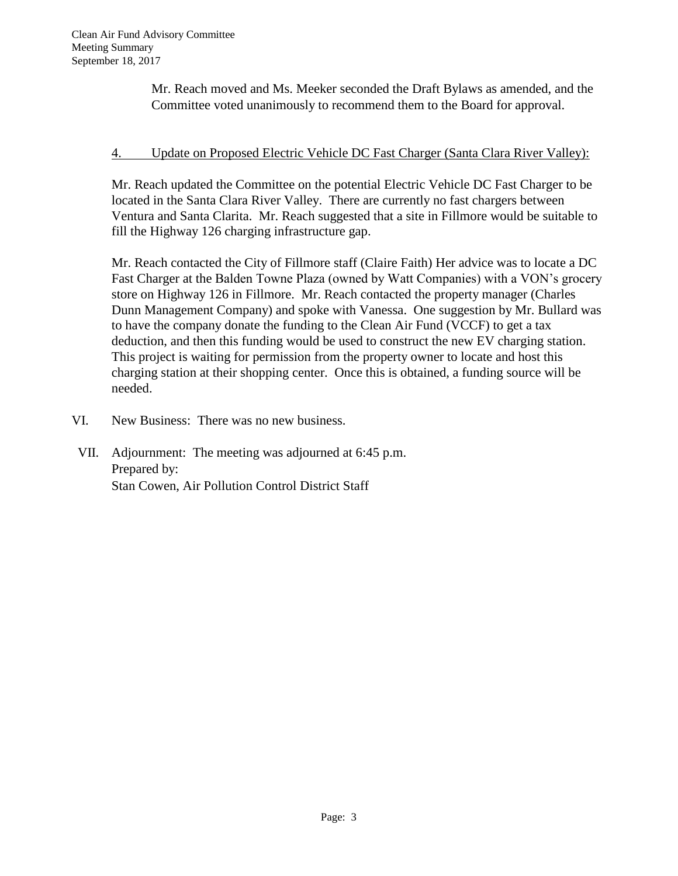Mr. Reach moved and Ms. Meeker seconded the Draft Bylaws as amended, and the Committee voted unanimously to recommend them to the Board for approval.

## 4. Update on Proposed Electric Vehicle DC Fast Charger (Santa Clara River Valley):

Mr. Reach updated the Committee on the potential Electric Vehicle DC Fast Charger to be located in the Santa Clara River Valley. There are currently no fast chargers between Ventura and Santa Clarita. Mr. Reach suggested that a site in Fillmore would be suitable to fill the Highway 126 charging infrastructure gap.

Mr. Reach contacted the City of Fillmore staff (Claire Faith) Her advice was to locate a DC Fast Charger at the Balden Towne Plaza (owned by Watt Companies) with a VON's grocery store on Highway 126 in Fillmore. Mr. Reach contacted the property manager (Charles Dunn Management Company) and spoke with Vanessa. One suggestion by Mr. Bullard was to have the company donate the funding to the Clean Air Fund (VCCF) to get a tax deduction, and then this funding would be used to construct the new EV charging station. This project is waiting for permission from the property owner to locate and host this charging station at their shopping center. Once this is obtained, a funding source will be needed.

- VI. New Business: There was no new business.
- VII. Adjournment: The meeting was adjourned at 6:45 p.m. Prepared by: Stan Cowen, Air Pollution Control District Staff